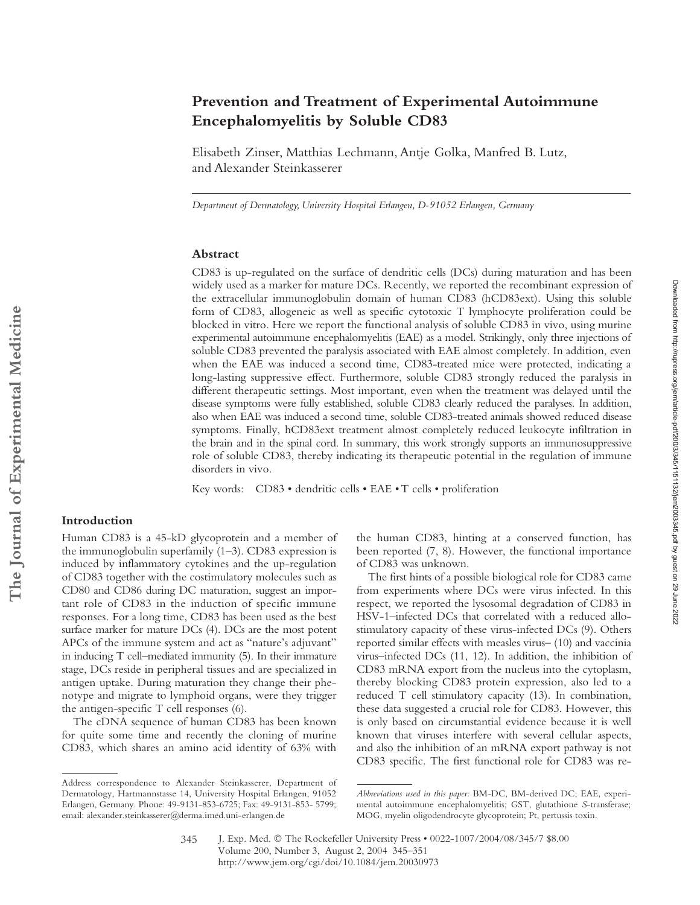# **Prevention and Treatment of Experimental Autoimmune Encephalomyelitis by Soluble CD83**

Elisabeth Zinser, Matthias Lechmann, Antje Golka, Manfred B. Lutz, and Alexander Steinkasserer

*Department of Dermatology, University Hospital Erlangen, D-91052 Erlangen, Germany*

### **Abstract**

CD83 is up-regulated on the surface of dendritic cells (DCs) during maturation and has been widely used as a marker for mature DCs. Recently, we reported the recombinant expression of the extracellular immunoglobulin domain of human CD83 (hCD83ext). Using this soluble form of CD83, allogeneic as well as specific cytotoxic T lymphocyte proliferation could be blocked in vitro. Here we report the functional analysis of soluble CD83 in vivo, using murine experimental autoimmune encephalomyelitis (EAE) as a model. Strikingly, only three injections of soluble CD83 prevented the paralysis associated with EAE almost completely. In addition, even when the EAE was induced a second time, CD83-treated mice were protected, indicating a long-lasting suppressive effect. Furthermore, soluble CD83 strongly reduced the paralysis in different therapeutic settings. Most important, even when the treatment was delayed until the disease symptoms were fully established, soluble CD83 clearly reduced the paralyses. In addition, also when EAE was induced a second time, soluble CD83-treated animals showed reduced disease symptoms. Finally, hCD83ext treatment almost completely reduced leukocyte infiltration in the brain and in the spinal cord. In summary, this work strongly supports an immunosuppressive role of soluble CD83, thereby indicating its therapeutic potential in the regulation of immune disorders in vivo.

Key words: CD83 • dendritic cells • EAE • T cells • proliferation

## **Introduction**

Human CD83 is a 45-kD glycoprotein and a member of the immunoglobulin superfamily (1–3). CD83 expression is induced by inflammatory cytokines and the up-regulation of CD83 together with the costimulatory molecules such as CD80 and CD86 during DC maturation, suggest an important role of CD83 in the induction of specific immune responses. For a long time, CD83 has been used as the best surface marker for mature DCs (4). DCs are the most potent APCs of the immune system and act as "nature's adjuvant" in inducing T cell–mediated immunity (5). In their immature stage, DCs reside in peripheral tissues and are specialized in antigen uptake. During maturation they change their phenotype and migrate to lymphoid organs, were they trigger the antigen-specific T cell responses (6).

The cDNA sequence of human CD83 has been known for quite some time and recently the cloning of murine CD83, which shares an amino acid identity of 63% with

the human CD83, hinting at a conserved function, has been reported (7, 8). However, the functional importance of CD83 was unknown.

The first hints of a possible biological role for CD83 came from experiments where DCs were virus infected. In this respect, we reported the lysosomal degradation of CD83 in HSV-1–infected DCs that correlated with a reduced allostimulatory capacity of these virus-infected DCs (9). Others reported similar effects with measles virus– (10) and vaccinia virus–infected DCs (11, 12). In addition, the inhibition of CD83 mRNA export from the nucleus into the cytoplasm, thereby blocking CD83 protein expression, also led to a reduced T cell stimulatory capacity (13). In combination, these data suggested a crucial role for CD83. However, this is only based on circumstantial evidence because it is well known that viruses interfere with several cellular aspects, and also the inhibition of an mRNA export pathway is not CD83 specific. The first functional role for CD83 was re-

Address correspondence to Alexander Steinkasserer, Department of Dermatology, Hartmannstasse 14, University Hospital Erlangen, 91052 Erlangen, Germany. Phone: 49-9131-853-6725; Fax: 49-9131-853- 5799; email: alexander.steinkasserer@derma.imed.uni-erlangen.de

*Abbreviations used in this paper:* BM-DC, BM-derived DC; EAE, experimental autoimmune encephalomyelitis; GST, glutathione *S*-transferase; MOG, myelin oligodendrocyte glycoprotein; Pt, pertussis toxin.

J. Exp. Med. © The Rockefeller University Press • 0022-1007/2004/08/345/7 \$8.00 Volume 200, Number 3, August 2, 2004 345–351 http://www.jem.org/cgi/doi/10.1084/jem.20030973 345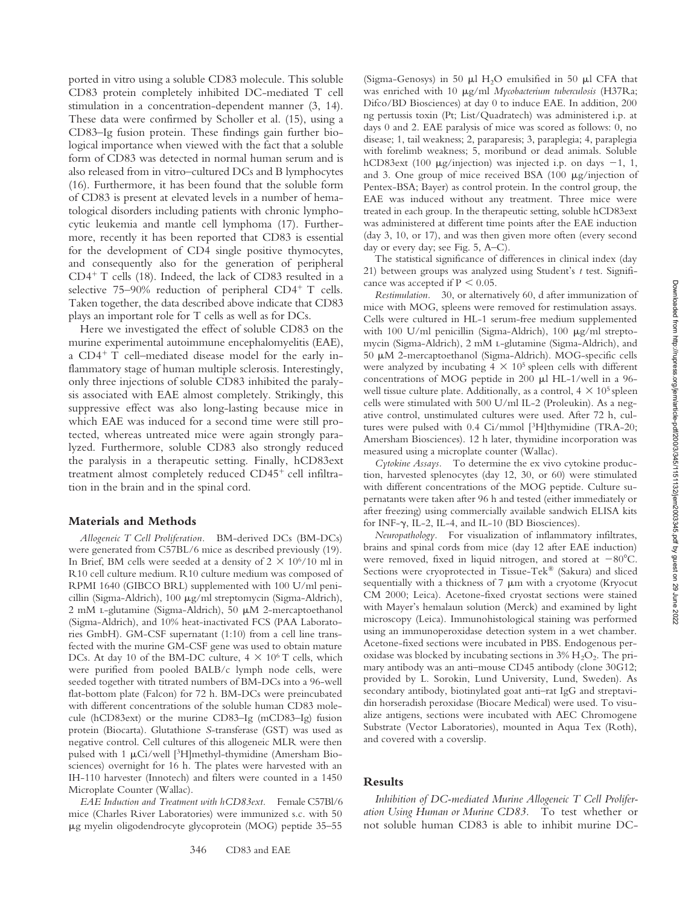ported in vitro using a soluble CD83 molecule. This soluble CD83 protein completely inhibited DC-mediated T cell stimulation in a concentration-dependent manner (3, 14). These data were confirmed by Scholler et al. (15), using a CD83–Ig fusion protein. These findings gain further biological importance when viewed with the fact that a soluble form of CD83 was detected in normal human serum and is also released from in vitro–cultured DCs and B lymphocytes (16). Furthermore, it has been found that the soluble form of CD83 is present at elevated levels in a number of hematological disorders including patients with chronic lymphocytic leukemia and mantle cell lymphoma (17). Furthermore, recently it has been reported that CD83 is essential for the development of CD4 single positive thymocytes, and consequently also for the generation of peripheral  $CD4+T$  cells (18). Indeed, the lack of CD83 resulted in a selective  $75-90\%$  reduction of peripheral CD4<sup>+</sup> T cells. Taken together, the data described above indicate that CD83 plays an important role for T cells as well as for DCs.

Here we investigated the effect of soluble CD83 on the murine experimental autoimmune encephalomyelitis (EAE), a  $CD4^+$  T cell–mediated disease model for the early inflammatory stage of human multiple sclerosis. Interestingly, only three injections of soluble CD83 inhibited the paralysis associated with EAE almost completely. Strikingly, this suppressive effect was also long-lasting because mice in which EAE was induced for a second time were still protected, whereas untreated mice were again strongly paralyzed. Furthermore, soluble CD83 also strongly reduced the paralysis in a therapeutic setting. Finally, hCD83ext treatment almost completely reduced  $CD45<sup>+</sup>$  cell infiltration in the brain and in the spinal cord.

#### **Materials and Methods**

*Allogeneic T Cell Proliferation.* BM-derived DCs (BM-DCs) were generated from C57BL/6 mice as described previously (19). In Brief, BM cells were seeded at a density of  $2 \times 10^{6}/10$  ml in R10 cell culture medium. R10 culture medium was composed of RPMI 1640 (GIBCO BRL) supplemented with 100 U/ml penicillin (Sigma-Aldrich), 100  $\mu$ g/ml streptomycin (Sigma-Aldrich), 2 mM L-glutamine (Sigma-Aldrich), 50 µM 2-mercaptoethanol (Sigma-Aldrich), and 10% heat-inactivated FCS (PAA Laboratories GmbH). GM-CSF supernatant (1:10) from a cell line transfected with the murine GM-CSF gene was used to obtain mature DCs. At day 10 of the BM-DC culture,  $4 \times 10^6$  T cells, which were purified from pooled BALB/c lymph node cells, were seeded together with titrated numbers of BM-DCs into a 96-well flat-bottom plate (Falcon) for 72 h. BM-DCs were preincubated with different concentrations of the soluble human CD83 molecule (hCD83ext) or the murine CD83–Ig (mCD83–Ig) fusion protein (Biocarta). Glutathione *S*-transferase (GST) was used as negative control. Cell cultures of this allogeneic MLR were then pulsed with 1  $\mu$ Ci/well [<sup>3</sup>H]methyl-thymidine (Amersham Biosciences) overnight for 16 h. The plates were harvested with an IH-110 harvester (Innotech) and filters were counted in a 1450 Microplate Counter (Wallac).

*EAE Induction and Treatment with hCD83ext.* Female C57Bl/6 mice (Charles River Laboratories) were immunized s.c. with 50 g myelin oligodendrocyte glycoprotein (MOG) peptide 35–55

(Sigma-Genosys) in 50  $\mu$ l H<sub>2</sub>O emulsified in 50  $\mu$ l CFA that was enriched with 10  $\mu$ g/ml *Mycobacterium tuberculosis* (H37Ra; Difco/BD Biosciences) at day 0 to induce EAE. In addition, 200 ng pertussis toxin (Pt; List/Quadratech) was administered i.p. at days 0 and 2. EAE paralysis of mice was scored as follows: 0, no disease; 1, tail weakness; 2, paraparesis; 3, paraplegia; 4, paraplegia with forelimb weakness; 5, moribund or dead animals. Soluble hCD83ext (100  $\mu$ g/injection) was injected i.p. on days -1, 1, and 3. One group of mice received BSA (100  $\mu$ g/injection of Pentex-BSA; Bayer) as control protein. In the control group, the EAE was induced without any treatment. Three mice were treated in each group. In the therapeutic setting, soluble hCD83ext was administered at different time points after the EAE induction (day 3, 10, or 17), and was then given more often (every second day or every day; see Fig. 5, A–C).

The statistical significance of differences in clinical index (day 21) between groups was analyzed using Student's *t* test. Significance was accepted if  $P < 0.05$ .

*Restimulation.* 30, or alternatively 60, d after immunization of mice with MOG, spleens were removed for restimulation assays. Cells were cultured in HL-1 serum-free medium supplemented with 100 U/ml penicillin (Sigma-Aldrich), 100  $\mu$ g/ml streptomycin (Sigma-Aldrich), 2 mM l-glutamine (Sigma-Aldrich), and 50 M 2-mercaptoethanol (Sigma-Aldrich). MOG-specific cells were analyzed by incubating  $4 \times 10^5$  spleen cells with different concentrations of MOG peptide in 200  $\mu$ l HL-1/well in a 96well tissue culture plate. Additionally, as a control,  $4 \times 10^5$  spleen cells were stimulated with 500 U/ml IL-2 (Proleukin). As a negative control, unstimulated cultures were used. After 72 h, cultures were pulsed with 0.4 Ci/mmol [3H]thymidine (TRA-20; Amersham Biosciences). 12 h later, thymidine incorporation was measured using a microplate counter (Wallac).

*Cytokine Assays.* To determine the ex vivo cytokine production, harvested splenocytes (day 12, 30, or 60) were stimulated with different concentrations of the MOG peptide. Culture supernatants were taken after 96 h and tested (either immediately or after freezing) using commercially available sandwich ELISA kits for INF- $\gamma$ , IL-2, IL-4, and IL-10 (BD Biosciences).

*Neuropathology.* For visualization of inflammatory infiltrates, brains and spinal cords from mice (day 12 after EAE induction) were removed, fixed in liquid nitrogen, and stored at  $-80^{\circ}$ C. Sections were cryoprotected in Tissue-Tek® (Sakura) and sliced sequentially with a thickness of 7  $\mu$ m with a cryotome (Kryocut CM 2000; Leica). Acetone-fixed cryostat sections were stained with Mayer's hemalaun solution (Merck) and examined by light microscopy (Leica). Immunohistological staining was performed using an immunoperoxidase detection system in a wet chamber. Acetone-fixed sections were incubated in PBS. Endogenous peroxidase was blocked by incubating sections in  $3\%$  H<sub>2</sub>O<sub>2</sub>. The primary antibody was an anti–mouse CD45 antibody (clone 30G12; provided by L. Sorokin, Lund University, Lund, Sweden). As secondary antibody, biotinylated goat anti–rat IgG and streptavidin horseradish peroxidase (Biocare Medical) were used. To visualize antigens, sections were incubated with AEC Chromogene Substrate (Vector Laboratories), mounted in Aqua Tex (Roth), and covered with a coverslip.

## **Results**

*Inhibition of DC-mediated Murine Allogeneic T Cell Proliferation Using Human or Murine CD83.* To test whether or not soluble human CD83 is able to inhibit murine DC-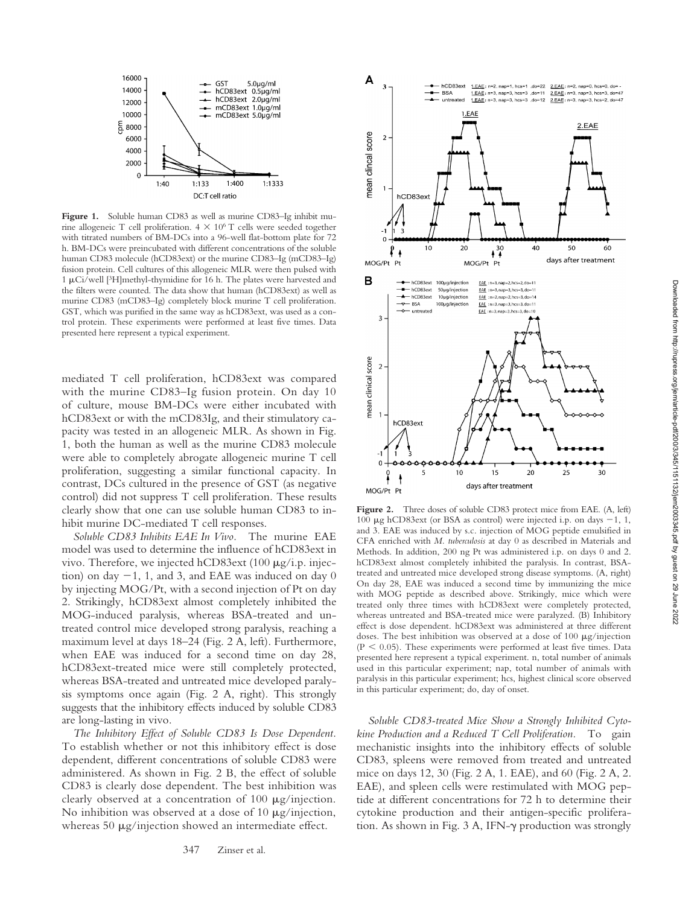

Figure 1. Soluble human CD83 as well as murine CD83-Ig inhibit murine allogeneic T cell proliferation.  $4 \times 10^6$  T cells were seeded together with titrated numbers of BM-DCs into a 96-well flat-bottom plate for 72 h. BM-DCs were preincubated with different concentrations of the soluble human CD83 molecule (hCD83ext) or the murine CD83–Ig (mCD83–Ig) fusion protein. Cell cultures of this allogeneic MLR were then pulsed with  $1 \mu$ Ci/well [<sup>3</sup>H]methyl-thymidine for 16 h. The plates were harvested and the filters were counted. The data show that human (hCD83ext) as well as murine CD83 (mCD83–Ig) completely block murine T cell proliferation. GST, which was purified in the same way as hCD83ext, was used as a control protein. These experiments were performed at least five times. Data presented here represent a typical experiment.

mediated T cell proliferation, hCD83ext was compared with the murine CD83–Ig fusion protein. On day 10 of culture, mouse BM-DCs were either incubated with hCD83ext or with the mCD83Ig, and their stimulatory capacity was tested in an allogeneic MLR. As shown in Fig. 1, both the human as well as the murine CD83 molecule were able to completely abrogate allogeneic murine T cell proliferation, suggesting a similar functional capacity. In contrast, DCs cultured in the presence of GST (as negative control) did not suppress T cell proliferation. These results clearly show that one can use soluble human CD83 to inhibit murine DC-mediated T cell responses.

*Soluble CD83 Inhibits EAE In Vivo.* The murine EAE model was used to determine the influence of hCD83ext in vivo. Therefore, we injected hCD83ext (100 µg/i.p. injection) on day  $-1$ , 1, and 3, and EAE was induced on day 0 by injecting MOG/Pt, with a second injection of Pt on day 2. Strikingly, hCD83ext almost completely inhibited the MOG-induced paralysis, whereas BSA-treated and untreated control mice developed strong paralysis, reaching a maximum level at days 18–24 (Fig. 2 A, left). Furthermore, when EAE was induced for a second time on day 28, hCD83ext-treated mice were still completely protected, whereas BSA-treated and untreated mice developed paralysis symptoms once again (Fig. 2 A, right). This strongly suggests that the inhibitory effects induced by soluble CD83 are long-lasting in vivo.

*The Inhibitory Effect of Soluble CD83 Is Dose Dependent.* To establish whether or not this inhibitory effect is dose dependent, different concentrations of soluble CD83 were administered. As shown in Fig. 2 B, the effect of soluble CD83 is clearly dose dependent. The best inhibition was clearly observed at a concentration of 100  $\mu$ g/injection. No inhibition was observed at a dose of 10  $\mu$ g/injection, whereas  $50 \mu g/injection$  showed an intermediate effect.



Figure 2. Three doses of soluble CD83 protect mice from EAE. (A, left) 100  $\mu$ g hCD83ext (or BSA as control) were injected i.p. on days -1, 1, and 3. EAE was induced by s.c. injection of MOG peptide emulsified in CFA enriched with *M. tuberculosis* at day 0 as described in Materials and Methods. In addition, 200 ng Pt was administered i.p. on days 0 and 2. hCD83ext almost completely inhibited the paralysis. In contrast, BSAtreated and untreated mice developed strong disease symptoms. (A, right) On day 28, EAE was induced a second time by immunizing the mice with MOG peptide as described above. Strikingly, mice which were treated only three times with hCD83ext were completely protected, whereas untreated and BSA-treated mice were paralyzed. (B) Inhibitory effect is dose dependent. hCD83ext was administered at three different doses. The best inhibition was observed at a dose of  $100 \mu g$ /injection  $(P < 0.05)$ . These experiments were performed at least five times. Data presented here represent a typical experiment. n, total number of animals used in this particular experiment; nap, total number of animals with paralysis in this particular experiment; hcs, highest clinical score observed in this particular experiment; do, day of onset.

*Soluble CD83-treated Mice Show a Strongly Inhibited Cytokine Production and a Reduced T Cell Proliferation.* To gain mechanistic insights into the inhibitory effects of soluble CD83, spleens were removed from treated and untreated mice on days 12, 30 (Fig. 2 A, 1. EAE), and 60 (Fig. 2 A, 2. EAE), and spleen cells were restimulated with MOG peptide at different concentrations for 72 h to determine their cytokine production and their antigen-specific proliferation. As shown in Fig.  $3$  A, IFN- $\gamma$  production was strongly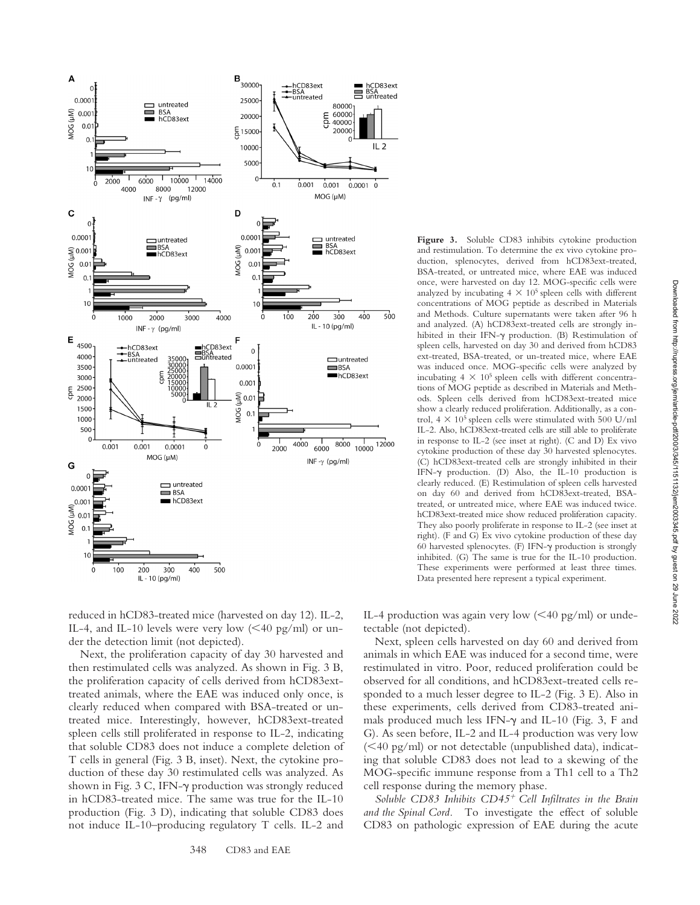

**Figure 3.** Soluble CD83 inhibits cytokine production and restimulation. To determine the ex vivo cytokine production, splenocytes, derived from hCD83ext-treated, BSA-treated, or untreated mice, where EAE was induced once, were harvested on day 12. MOG-specific cells were analyzed by incubating  $4 \times 10^5$  spleen cells with different concentrations of MOG peptide as described in Materials and Methods. Culture supernatants were taken after 96 h and analyzed. (A) hCD83ext-treated cells are strongly inhibited in their IFN- $\gamma$  production. (B) Restimulation of spleen cells, harvested on day 30 and derived from hCD83 ext-treated, BSA-treated, or un-treated mice, where EAE was induced once. MOG-specific cells were analyzed by incubating  $4 \times 10^5$  spleen cells with different concentrations of MOG peptide as described in Materials and Methods. Spleen cells derived from hCD83ext-treated mice show a clearly reduced proliferation. Additionally, as a control,  $4 \times 10^5$  spleen cells were stimulated with 500 U/ml IL-2. Also, hCD83ext-treated cells are still able to proliferate in response to IL-2 (see inset at right). (C and D) Ex vivo cytokine production of these day 30 harvested splenocytes. (C) hCD83ext-treated cells are strongly inhibited in their IFN- $\gamma$  production. (D) Also, the IL-10 production is clearly reduced. (E) Restimulation of spleen cells harvested on day 60 and derived from hCD83ext-treated, BSAtreated, or untreated mice, where EAE was induced twice. hCD83ext-treated mice show reduced proliferation capacity. They also poorly proliferate in response to IL-2 (see inset at right). (F and G) Ex vivo cytokine production of these day 60 harvested splenocytes. (F) IFN- $\gamma$  production is strongly inhibited. (G) The same is true for the IL-10 production. These experiments were performed at least three times. Data presented here represent a typical experiment.

reduced in hCD83-treated mice (harvested on day 12). IL-2, IL-4, and IL-10 levels were very low  $(<$  40 pg/ml) or under the detection limit (not depicted).

Next, the proliferation capacity of day 30 harvested and then restimulated cells was analyzed. As shown in Fig. 3 B, the proliferation capacity of cells derived from hCD83exttreated animals, where the EAE was induced only once, is clearly reduced when compared with BSA-treated or untreated mice. Interestingly, however, hCD83ext-treated spleen cells still proliferated in response to IL-2, indicating that soluble CD83 does not induce a complete deletion of T cells in general (Fig. 3 B, inset). Next, the cytokine production of these day 30 restimulated cells was analyzed. As shown in Fig. 3 C, IFN- $\gamma$  production was strongly reduced in hCD83-treated mice. The same was true for the IL-10 production (Fig. 3 D), indicating that soluble CD83 does not induce IL-10–producing regulatory T cells. IL-2 and

IL-4 production was again very low  $(<$  40 pg/ml) or undetectable (not depicted).

Next, spleen cells harvested on day 60 and derived from animals in which EAE was induced for a second time, were restimulated in vitro. Poor, reduced proliferation could be observed for all conditions, and hCD83ext-treated cells responded to a much lesser degree to IL-2 (Fig. 3 E). Also in these experiments, cells derived from CD83-treated animals produced much less IFN- $\gamma$  and IL-10 (Fig. 3, F and G). As seen before, IL-2 and IL-4 production was very low  $(<$ 40 pg/ml) or not detectable (unpublished data), indicating that soluble CD83 does not lead to a skewing of the MOG-specific immune response from a Th1 cell to a Th2 cell response during the memory phase.

*Soluble CD83 Inhibits CD45 Cell Infiltrates in the Brain and the Spinal Cord.* To investigate the effect of soluble CD83 on pathologic expression of EAE during the acute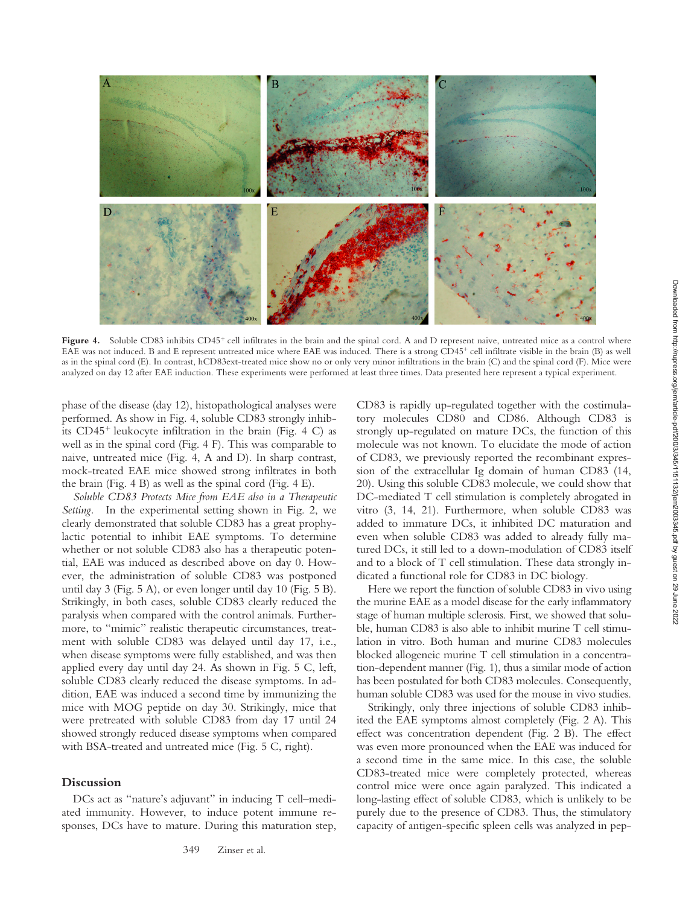

Figure 4. Soluble CD83 inhibits CD45<sup>+</sup> cell infiltrates in the brain and the spinal cord. A and D represent naive, untreated mice as a control where EAE was not induced. B and E represent untreated mice where EAE was induced. There is a strong CD45<sup>+</sup> cell infiltrate visible in the brain (B) as well as in the spinal cord (E). In contrast, hCD83ext-treated mice show no or only very minor infiltrations in the brain (C) and the spinal cord (F). Mice were analyzed on day 12 after EAE induction. These experiments were performed at least three times. Data presented here represent a typical experiment.

phase of the disease (day 12), histopathological analyses were performed. As show in Fig. 4, soluble CD83 strongly inhibits  $CD45<sup>+</sup>$  leukocyte infiltration in the brain (Fig. 4 C) as well as in the spinal cord (Fig. 4 F). This was comparable to naive, untreated mice (Fig. 4, A and D). In sharp contrast, mock-treated EAE mice showed strong infiltrates in both the brain (Fig. 4 B) as well as the spinal cord (Fig. 4 E).

*Soluble CD83 Protects Mice from EAE also in a Therapeutic Setting.* In the experimental setting shown in Fig. 2, we clearly demonstrated that soluble CD83 has a great prophylactic potential to inhibit EAE symptoms. To determine whether or not soluble CD83 also has a therapeutic potential, EAE was induced as described above on day 0. However, the administration of soluble CD83 was postponed until day 3 (Fig. 5 A), or even longer until day 10 (Fig. 5 B). Strikingly, in both cases, soluble CD83 clearly reduced the paralysis when compared with the control animals. Furthermore, to "mimic" realistic therapeutic circumstances, treatment with soluble CD83 was delayed until day 17, i.e., when disease symptoms were fully established, and was then applied every day until day 24. As shown in Fig. 5 C, left, soluble CD83 clearly reduced the disease symptoms. In addition, EAE was induced a second time by immunizing the mice with MOG peptide on day 30. Strikingly, mice that were pretreated with soluble CD83 from day 17 until 24 showed strongly reduced disease symptoms when compared with BSA-treated and untreated mice (Fig. 5 C, right).

#### **Discussion**

DCs act as "nature's adjuvant" in inducing T cell–mediated immunity. However, to induce potent immune responses, DCs have to mature. During this maturation step, CD83 is rapidly up-regulated together with the costimulatory molecules CD80 and CD86. Although CD83 is strongly up-regulated on mature DCs, the function of this molecule was not known. To elucidate the mode of action of CD83, we previously reported the recombinant expression of the extracellular Ig domain of human CD83 (14, 20). Using this soluble CD83 molecule, we could show that DC-mediated T cell stimulation is completely abrogated in vitro (3, 14, 21). Furthermore, when soluble CD83 was added to immature DCs, it inhibited DC maturation and even when soluble CD83 was added to already fully matured DCs, it still led to a down-modulation of CD83 itself and to a block of T cell stimulation. These data strongly indicated a functional role for CD83 in DC biology.

Here we report the function of soluble CD83 in vivo using the murine EAE as a model disease for the early inflammatory stage of human multiple sclerosis. First, we showed that soluble, human CD83 is also able to inhibit murine T cell stimulation in vitro*.* Both human and murine CD83 molecules blocked allogeneic murine T cell stimulation in a concentration-dependent manner (Fig. 1), thus a similar mode of action has been postulated for both CD83 molecules. Consequently, human soluble CD83 was used for the mouse in vivo studies.

Strikingly, only three injections of soluble CD83 inhibited the EAE symptoms almost completely (Fig. 2 A). This effect was concentration dependent (Fig. 2 B). The effect was even more pronounced when the EAE was induced for a second time in the same mice. In this case, the soluble CD83-treated mice were completely protected, whereas control mice were once again paralyzed. This indicated a long-lasting effect of soluble CD83, which is unlikely to be purely due to the presence of CD83. Thus, the stimulatory capacity of antigen-specific spleen cells was analyzed in pep-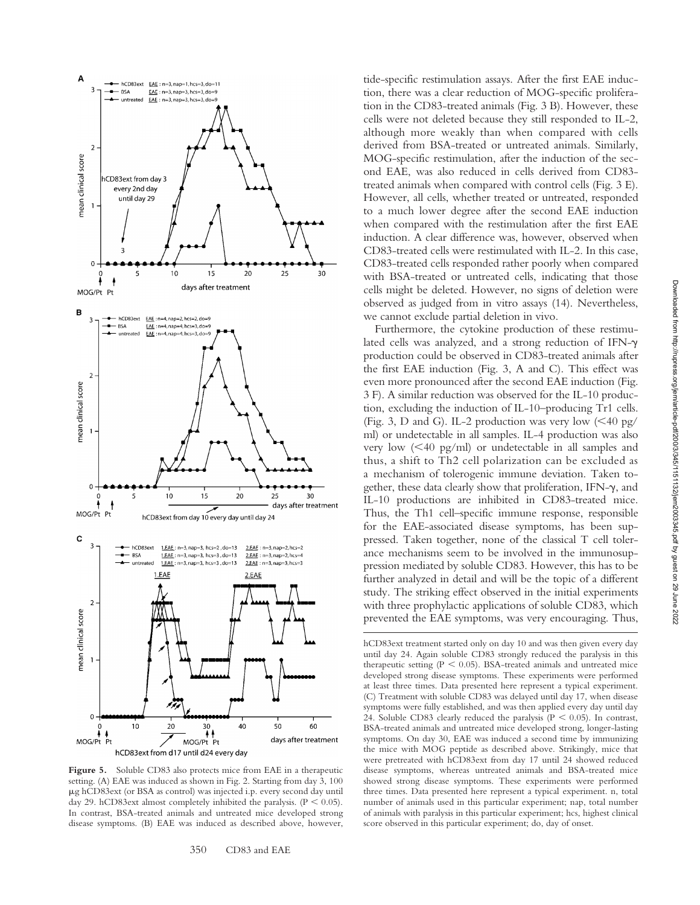

Figure 5. Soluble CD83 also protects mice from EAE in a therapeutic setting. (A) EAE was induced as shown in Fig. 2. Starting from day 3, 100 g hCD83ext (or BSA as control) was injected i.p. every second day until day 29. hCD83ext almost completely inhibited the paralysis. ( $P < 0.05$ ). In contrast, BSA-treated animals and untreated mice developed strong disease symptoms. (B) EAE was induced as described above, however,

350 CD83 and EAE

tide-specific restimulation assays. After the first EAE induction, there was a clear reduction of MOG-specific proliferation in the CD83-treated animals (Fig. 3 B). However, these cells were not deleted because they still responded to IL-2, although more weakly than when compared with cells derived from BSA-treated or untreated animals. Similarly, MOG-specific restimulation, after the induction of the second EAE, was also reduced in cells derived from CD83 treated animals when compared with control cells (Fig. 3 E). However, all cells, whether treated or untreated, responded to a much lower degree after the second EAE induction when compared with the restimulation after the first EAE induction. A clear difference was, however, observed when CD83-treated cells were restimulated with IL-2. In this case, CD83-treated cells responded rather poorly when compared with BSA-treated or untreated cells, indicating that those cells might be deleted. However, no signs of deletion were observed as judged from in vitro assays (14). Nevertheless, we cannot exclude partial deletion in vivo.

Furthermore, the cytokine production of these restimulated cells was analyzed, and a strong reduction of IFN- $\gamma$ production could be observed in CD83-treated animals after the first EAE induction (Fig. 3, A and C). This effect was even more pronounced after the second EAE induction (Fig. 3 F). A similar reduction was observed for the IL-10 production, excluding the induction of IL-10–producing Tr1 cells. (Fig. 3, D and G). IL-2 production was very low  $\left($  < 40 pg/ ml) or undetectable in all samples. IL-4 production was also very low (40 pg/ml) or undetectable in all samples and thus, a shift to Th2 cell polarization can be excluded as a mechanism of tolerogenic immune deviation. Taken together, these data clearly show that proliferation, IFN- $\gamma$ , and IL-10 productions are inhibited in CD83-treated mice. Thus, the Th1 cell–specific immune response, responsible for the EAE-associated disease symptoms, has been suppressed. Taken together, none of the classical T cell tolerance mechanisms seem to be involved in the immunosuppression mediated by soluble CD83. However, this has to be further analyzed in detail and will be the topic of a different study. The striking effect observed in the initial experiments with three prophylactic applications of soluble CD83, which prevented the EAE symptoms, was very encouraging. Thus,

hCD83ext treatment started only on day 10 and was then given every day until day 24. Again soluble CD83 strongly reduced the paralysis in this therapeutic setting  $(P < 0.05)$ . BSA-treated animals and untreated mice developed strong disease symptoms. These experiments were performed at least three times. Data presented here represent a typical experiment. (C) Treatment with soluble CD83 was delayed until day 17, when disease symptoms were fully established, and was then applied every day until day 24. Soluble CD83 clearly reduced the paralysis ( $P < 0.05$ ). In contrast, BSA-treated animals and untreated mice developed strong, longer-lasting symptoms. On day 30, EAE was induced a second time by immunizing the mice with MOG peptide as described above. Strikingly, mice that were pretreated with hCD83ext from day 17 until 24 showed reduced disease symptoms, whereas untreated animals and BSA-treated mice showed strong disease symptoms. These experiments were performed three times. Data presented here represent a typical experiment. n, total number of animals used in this particular experiment; nap, total number of animals with paralysis in this particular experiment; hcs, highest clinical score observed in this particular experiment; do, day of onset.